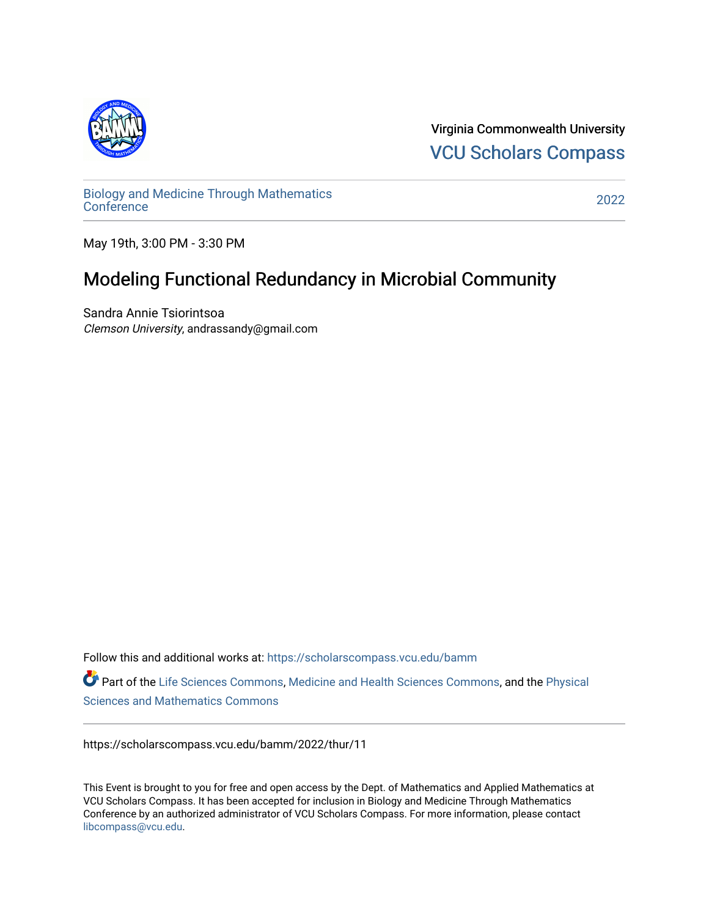

Virginia Commonwealth University [VCU Scholars Compass](https://scholarscompass.vcu.edu/) 

[Biology and Medicine Through Mathematics](https://scholarscompass.vcu.edu/bamm)  [Conference](https://scholarscompass.vcu.edu/bamm) [2022](https://scholarscompass.vcu.edu/bamm/2022) 

May 19th, 3:00 PM - 3:30 PM

## Modeling Functional Redundancy in Microbial Community

Sandra Annie Tsiorintsoa Clemson University, andrassandy@gmail.com

Follow this and additional works at: [https://scholarscompass.vcu.edu/bamm](https://scholarscompass.vcu.edu/bamm?utm_source=scholarscompass.vcu.edu%2Fbamm%2F2022%2Fthur%2F11&utm_medium=PDF&utm_campaign=PDFCoverPages)

Part of the [Life Sciences Commons,](http://network.bepress.com/hgg/discipline/1016?utm_source=scholarscompass.vcu.edu%2Fbamm%2F2022%2Fthur%2F11&utm_medium=PDF&utm_campaign=PDFCoverPages) [Medicine and Health Sciences Commons,](http://network.bepress.com/hgg/discipline/648?utm_source=scholarscompass.vcu.edu%2Fbamm%2F2022%2Fthur%2F11&utm_medium=PDF&utm_campaign=PDFCoverPages) and the Physical [Sciences and Mathematics Commons](http://network.bepress.com/hgg/discipline/114?utm_source=scholarscompass.vcu.edu%2Fbamm%2F2022%2Fthur%2F11&utm_medium=PDF&utm_campaign=PDFCoverPages) 

https://scholarscompass.vcu.edu/bamm/2022/thur/11

This Event is brought to you for free and open access by the Dept. of Mathematics and Applied Mathematics at VCU Scholars Compass. It has been accepted for inclusion in Biology and Medicine Through Mathematics Conference by an authorized administrator of VCU Scholars Compass. For more information, please contact [libcompass@vcu.edu.](mailto:libcompass@vcu.edu)